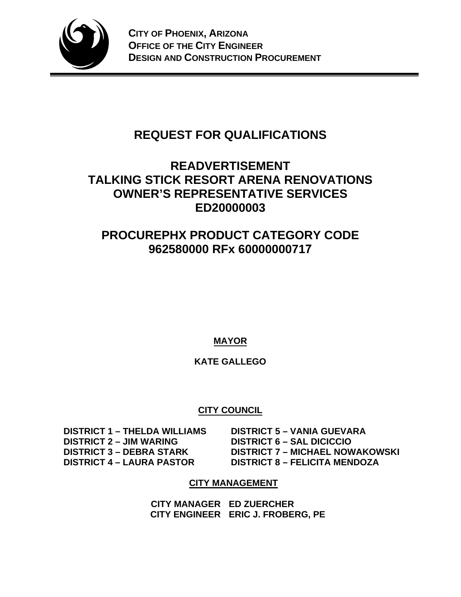

# **REQUEST FOR QUALIFICATIONS**

# **READVERTISEMENT TALKING STICK RESORT ARENA RENOVATIONS OWNER'S REPRESENTATIVE SERVICES ED20000003**

# **PROCUREPHX PRODUCT CATEGORY CODE 962580000 RFx 60000000717**

**MAYOR** 

# **KATE GALLEGO**

# **CITY COUNCIL**

 **DISTRICT 1 – THELDA WILLIAMS DISTRICT 5 – VANIA GUEVARA DISTRICT 2 – JIM WARING DISTRICT 6 – SAL DICICCIO** 

 **DISTRICT 3 – DEBRA STARK DISTRICT 7 – MICHAEL NOWAKOWSKI DISTRICT 4 – LAURA PASTOR DISTRICT 8 – FELICITA MENDOZA** 

# **CITY MANAGEMENT**

**CITY MANAGER ED ZUERCHER CITY ENGINEER ERIC J. FROBERG, PE**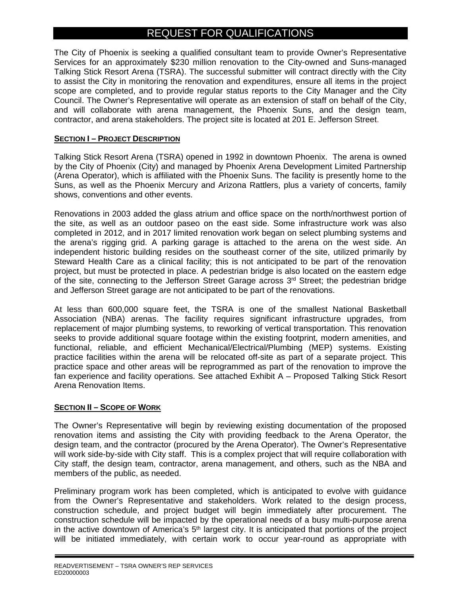# REQUEST FOR QUALIFICATIONS

The City of Phoenix is seeking a qualified consultant team to provide Owner's Representative Services for an approximately \$230 million renovation to the City-owned and Suns-managed Talking Stick Resort Arena (TSRA). The successful submitter will contract directly with the City to assist the City in monitoring the renovation and expenditures, ensure all items in the project scope are completed, and to provide regular status reports to the City Manager and the City Council. The Owner's Representative will operate as an extension of staff on behalf of the City, and will collaborate with arena management, the Phoenix Suns, and the design team, contractor, and arena stakeholders. The project site is located at 201 E. Jefferson Street.

### **SECTION I – PROJECT DESCRIPTION**

Talking Stick Resort Arena (TSRA) opened in 1992 in downtown Phoenix. The arena is owned by the City of Phoenix (City) and managed by Phoenix Arena Development Limited Partnership (Arena Operator), which is affiliated with the Phoenix Suns. The facility is presently home to the Suns, as well as the Phoenix Mercury and Arizona Rattlers, plus a variety of concerts, family shows, conventions and other events.

Renovations in 2003 added the glass atrium and office space on the north/northwest portion of the site, as well as an outdoor paseo on the east side. Some infrastructure work was also completed in 2012, and in 2017 limited renovation work began on select plumbing systems and the arena's rigging grid. A parking garage is attached to the arena on the west side. An independent historic building resides on the southeast corner of the site, utilized primarily by Steward Health Care as a clinical facility; this is not anticipated to be part of the renovation project, but must be protected in place. A pedestrian bridge is also located on the eastern edge of the site, connecting to the Jefferson Street Garage across 3rd Street; the pedestrian bridge and Jefferson Street garage are not anticipated to be part of the renovations.

At less than 600,000 square feet, the TSRA is one of the smallest National Basketball Association (NBA) arenas. The facility requires significant infrastructure upgrades, from replacement of major plumbing systems, to reworking of vertical transportation. This renovation seeks to provide additional square footage within the existing footprint, modern amenities, and functional, reliable, and efficient Mechanical/Electrical/Plumbing (MEP) systems. Existing practice facilities within the arena will be relocated off-site as part of a separate project. This practice space and other areas will be reprogrammed as part of the renovation to improve the fan experience and facility operations. See attached Exhibit A – Proposed Talking Stick Resort Arena Renovation Items.

#### **SECTION II – SCOPE OF WORK**

The Owner's Representative will begin by reviewing existing documentation of the proposed renovation items and assisting the City with providing feedback to the Arena Operator, the design team, and the contractor (procured by the Arena Operator). The Owner's Representative will work side-by-side with City staff. This is a complex project that will require collaboration with City staff, the design team, contractor, arena management, and others, such as the NBA and members of the public, as needed.

Preliminary program work has been completed, which is anticipated to evolve with guidance from the Owner's Representative and stakeholders. Work related to the design process, construction schedule, and project budget will begin immediately after procurement. The construction schedule will be impacted by the operational needs of a busy multi-purpose arena in the active downtown of America's  $5<sup>th</sup>$  largest city. It is anticipated that portions of the project will be initiated immediately, with certain work to occur year-round as appropriate with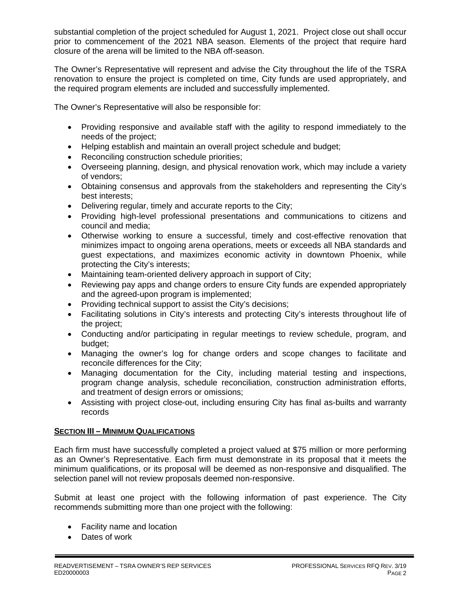substantial completion of the project scheduled for August 1, 2021. Project close out shall occur prior to commencement of the 2021 NBA season. Elements of the project that require hard closure of the arena will be limited to the NBA off-season.

The Owner's Representative will represent and advise the City throughout the life of the TSRA renovation to ensure the project is completed on time, City funds are used appropriately, and the required program elements are included and successfully implemented.

The Owner's Representative will also be responsible for:

- Providing responsive and available staff with the agility to respond immediately to the needs of the project;
- Helping establish and maintain an overall project schedule and budget;
- Reconciling construction schedule priorities;
- Overseeing planning, design, and physical renovation work, which may include a variety of vendors;
- Obtaining consensus and approvals from the stakeholders and representing the City's best interests;
- Delivering regular, timely and accurate reports to the City;
- Providing high-level professional presentations and communications to citizens and council and media;
- Otherwise working to ensure a successful, timely and cost-effective renovation that minimizes impact to ongoing arena operations, meets or exceeds all NBA standards and guest expectations, and maximizes economic activity in downtown Phoenix, while protecting the City's interests;
- Maintaining team-oriented delivery approach in support of City;
- Reviewing pay apps and change orders to ensure City funds are expended appropriately and the agreed-upon program is implemented;
- Providing technical support to assist the City's decisions:
- Facilitating solutions in City's interests and protecting City's interests throughout life of the project;
- Conducting and/or participating in regular meetings to review schedule, program, and budget;
- Managing the owner's log for change orders and scope changes to facilitate and reconcile differences for the City;
- Managing documentation for the City, including material testing and inspections, program change analysis, schedule reconciliation, construction administration efforts, and treatment of design errors or omissions;
- Assisting with project close-out, including ensuring City has final as-builts and warranty records

## **SECTION III – MINIMUM QUALIFICATIONS**

Each firm must have successfully completed a project valued at \$75 million or more performing as an Owner's Representative. Each firm must demonstrate in its proposal that it meets the minimum qualifications, or its proposal will be deemed as non-responsive and disqualified. The selection panel will not review proposals deemed non-responsive.

Submit at least one project with the following information of past experience. The City recommends submitting more than one project with the following:

- Facility name and location
- Dates of work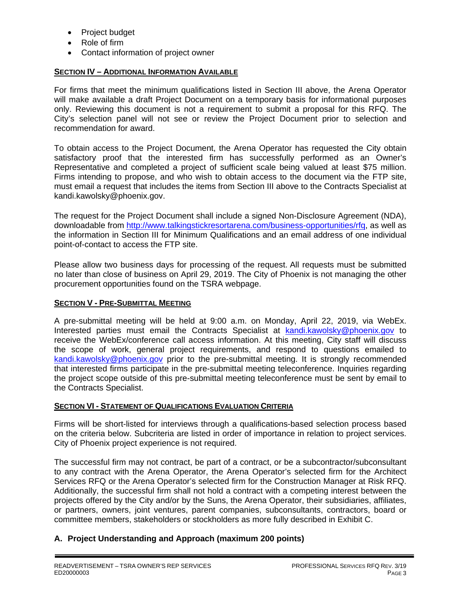- Project budget
- Role of firm
- Contact information of project owner

### **SECTION IV – ADDITIONAL INFORMATION AVAILABLE**

For firms that meet the minimum qualifications listed in Section III above, the Arena Operator will make available a draft Project Document on a temporary basis for informational purposes only. Reviewing this document is not a requirement to submit a proposal for this RFQ. The City's selection panel will not see or review the Project Document prior to selection and recommendation for award.

To obtain access to the Project Document, the Arena Operator has requested the City obtain satisfactory proof that the interested firm has successfully performed as an Owner's Representative and completed a project of sufficient scale being valued at least \$75 million. Firms intending to propose, and who wish to obtain access to the document via the FTP site, must email a request that includes the items from Section III above to the Contracts Specialist at kandi.kawolsky@phoenix.gov.

The request for the Project Document shall include a signed Non-Disclosure Agreement (NDA), downloadable from http://www.talkingstickresortarena.com/business-opportunities/rfq, as well as the information in Section III for Minimum Qualifications and an email address of one individual point-of-contact to access the FTP site.

Please allow two business days for processing of the request. All requests must be submitted no later than close of business on April 29, 2019. The City of Phoenix is not managing the other procurement opportunities found on the TSRA webpage.

#### **SECTION V - PRE-SUBMITTAL MEETING**

A pre-submittal meeting will be held at 9:00 a.m. on Monday, April 22, 2019, via WebEx. Interested parties must email the Contracts Specialist at kandi.kawolsky@phoenix.gov to receive the WebEx/conference call access information. At this meeting, City staff will discuss the scope of work, general project requirements, and respond to questions emailed to kandi.kawolsky@phoenix.gov prior to the pre-submittal meeting. It is strongly recommended that interested firms participate in the pre-submittal meeting teleconference. Inquiries regarding the project scope outside of this pre-submittal meeting teleconference must be sent by email to the Contracts Specialist.

#### **SECTION VI - STATEMENT OF QUALIFICATIONS EVALUATION CRITERIA**

Firms will be short-listed for interviews through a qualifications-based selection process based on the criteria below. Subcriteria are listed in order of importance in relation to project services. City of Phoenix project experience is not required.

The successful firm may not contract, be part of a contract, or be a subcontractor/subconsultant to any contract with the Arena Operator, the Arena Operator's selected firm for the Architect Services RFQ or the Arena Operator's selected firm for the Construction Manager at Risk RFQ. Additionally, the successful firm shall not hold a contract with a competing interest between the projects offered by the City and/or by the Suns, the Arena Operator, their subsidiaries, affiliates, or partners, owners, joint ventures, parent companies, subconsultants, contractors, board or committee members, stakeholders or stockholders as more fully described in Exhibit C.

## **A. Project Understanding and Approach (maximum 200 points)**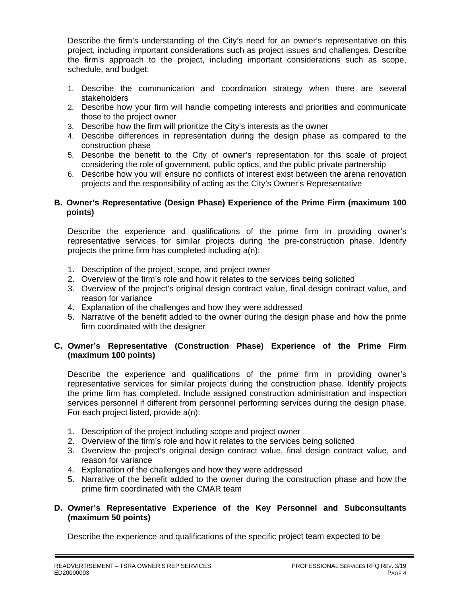Describe the firm's understanding of the City's need for an owner's representative on this project, including important considerations such as project issues and challenges. Describe the firm's approach to the project, including important considerations such as scope, schedule, and budget:

- 1. Describe the communication and coordination strategy when there are several stakeholders
- 2. Describe how your firm will handle competing interests and priorities and communicate those to the project owner
- 3. Describe how the firm will prioritize the City's interests as the owner
- 4. Describe differences in representation during the design phase as compared to the construction phase
- 5. Describe the benefit to the City of owner's representation for this scale of project considering the role of government, public optics, and the public private partnership
- 6. Describe how you will ensure no conflicts of interest exist between the arena renovation projects and the responsibility of acting as the City's Owner's Representative

### **B. Owner's Representative (Design Phase) Experience of the Prime Firm (maximum 100 points)**

Describe the experience and qualifications of the prime firm in providing owner's representative services for similar projects during the pre-construction phase. Identify projects the prime firm has completed including a(n):

- 1. Description of the project, scope, and project owner
- 2. Overview of the firm's role and how it relates to the services being solicited
- 3. Overview of the project's original design contract value, final design contract value, and reason for variance
- 4. Explanation of the challenges and how they were addressed
- 5. Narrative of the benefit added to the owner during the design phase and how the prime firm coordinated with the designer

### **C. Owner's Representative (Construction Phase) Experience of the Prime Firm (maximum 100 points)**

Describe the experience and qualifications of the prime firm in providing owner's representative services for similar projects during the construction phase. Identify projects the prime firm has completed. Include assigned construction administration and inspection services personnel if different from personnel performing services during the design phase. For each project listed, provide a(n):

- 1. Description of the project including scope and project owner
- 2. Overview of the firm's role and how it relates to the services being solicited
- 3. Overview the project's original design contract value, final design contract value, and reason for variance
- 4. Explanation of the challenges and how they were addressed
- 5. Narrative of the benefit added to the owner during the construction phase and how the prime firm coordinated with the CMAR team

### **D. Owner's Representative Experience of the Key Personnel and Subconsultants (maximum 50 points)**

Describe the experience and qualifications of the specific project team expected to be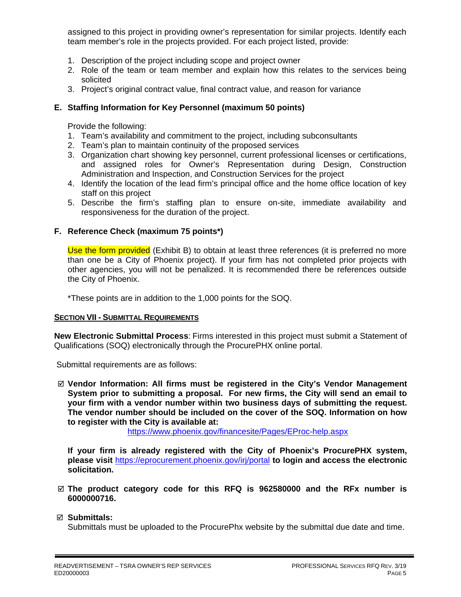assigned to this project in providing owner's representation for similar projects. Identify each team member's role in the projects provided. For each project listed, provide:

- 1. Description of the project including scope and project owner
- 2. Role of the team or team member and explain how this relates to the services being solicited
- 3. Project's original contract value, final contract value, and reason for variance

### **E. Staffing Information for Key Personnel (maximum 50 points)**

Provide the following:

- 1. Team's availability and commitment to the project, including subconsultants
- 2. Team's plan to maintain continuity of the proposed services
- 3. Organization chart showing key personnel, current professional licenses or certifications, and assigned roles for Owner's Representation during Design, Construction Administration and Inspection, and Construction Services for the project
- 4. Identify the location of the lead firm's principal office and the home office location of key staff on this project
- 5. Describe the firm's staffing plan to ensure on-site, immediate availability and responsiveness for the duration of the project.

#### **F. Reference Check (maximum 75 points\*)**

Use the form provided (Exhibit B) to obtain at least three references (it is preferred no more than one be a City of Phoenix project). If your firm has not completed prior projects with other agencies, you will not be penalized. It is recommended there be references outside the City of Phoenix.

\*These points are in addition to the 1,000 points for the SOQ.

#### **SECTION VII - SUBMITTAL REQUIREMENTS**

**New Electronic Submittal Process**: Firms interested in this project must submit a Statement of Qualifications (SOQ) electronically through the ProcurePHX online portal.

Submittal requirements are as follows:

 **Vendor Information: All firms must be registered in the City's Vendor Management System prior to submitting a proposal. For new firms, the City will send an email to your firm with a vendor number within two business days of submitting the request. The vendor number should be included on the cover of the SOQ. Information on how to register with the City is available at:** 

https://www.phoenix.gov/financesite/Pages/EProc-help.aspx

**If your firm is already registered with the City of Phoenix's ProcurePHX system, please visit** https://eprocurement.phoenix.gov/irj/portal **to login and access the electronic solicitation.**

 **The product category code for this RFQ is 962580000 and the RFx number is 6000000716.** 

#### **Submittals:**

Submittals must be uploaded to the ProcurePhx website by the submittal due date and time.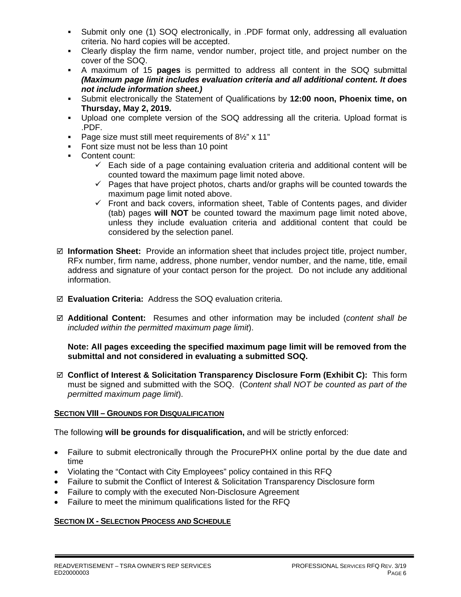- Submit only one (1) SOQ electronically, in .PDF format only, addressing all evaluation criteria. No hard copies will be accepted.
- Clearly display the firm name, vendor number, project title, and project number on the cover of the SOQ.
- A maximum of 15 **pages** is permitted to address all content in the SOQ submittal *(Maximum page limit includes evaluation criteria and all additional content. It does not include information sheet.)*
- Submit electronically the Statement of Qualifications by **12:00 noon, Phoenix time, on Thursday, May 2, 2019.**
- Upload one complete version of the SOQ addressing all the criteria. Upload format is .PDF.
- Page size must still meet requirements of  $8\frac{1}{2}$ " x 11"
- Font size must not be less than 10 point
- Content count:
	- $\checkmark$  Each side of a page containing evaluation criteria and additional content will be counted toward the maximum page limit noted above.
	- $\checkmark$  Pages that have project photos, charts and/or graphs will be counted towards the maximum page limit noted above.
	- $\checkmark$  Front and back covers, information sheet, Table of Contents pages, and divider (tab) pages **will NOT** be counted toward the maximum page limit noted above, unless they include evaluation criteria and additional content that could be considered by the selection panel.
- **Information Sheet:** Provide an information sheet that includes project title, project number, RFx number, firm name, address, phone number, vendor number, and the name, title, email address and signature of your contact person for the project. Do not include any additional information.
- **Evaluation Criteria:** Address the SOQ evaluation criteria.
- **Additional Content:** Resumes and other information may be included (*content shall be included within the permitted maximum page limit*).

**Note: All pages exceeding the specified maximum page limit will be removed from the submittal and not considered in evaluating a submitted SOQ.**

 **Conflict of Interest & Solicitation Transparency Disclosure Form (Exhibit C):** This form must be signed and submitted with the SOQ. (C*ontent shall NOT be counted as part of the permitted maximum page limit*).

## **SECTION VIII – GROUNDS FOR DISQUALIFICATION**

The following **will be grounds for disqualification,** and will be strictly enforced:

- Failure to submit electronically through the ProcurePHX online portal by the due date and time
- Violating the "Contact with City Employees" policy contained in this RFQ
- Failure to submit the Conflict of Interest & Solicitation Transparency Disclosure form
- Failure to comply with the executed Non-Disclosure Agreement
- Failure to meet the minimum qualifications listed for the RFQ

#### **SECTION IX - SELECTION PROCESS AND SCHEDULE**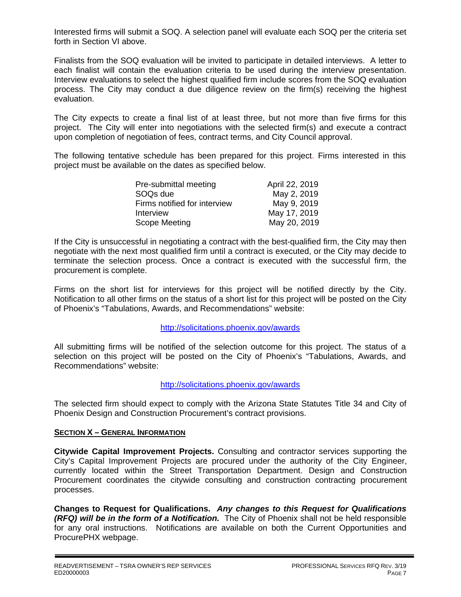Interested firms will submit a SOQ. A selection panel will evaluate each SOQ per the criteria set forth in Section VI above.

Finalists from the SOQ evaluation will be invited to participate in detailed interviews. A letter to each finalist will contain the evaluation criteria to be used during the interview presentation. Interview evaluations to select the highest qualified firm include scores from the SOQ evaluation process. The City may conduct a due diligence review on the firm(s) receiving the highest evaluation.

The City expects to create a final list of at least three, but not more than five firms for this project. The City will enter into negotiations with the selected firm(s) and execute a contract upon completion of negotiation of fees, contract terms, and City Council approval.

The following tentative schedule has been prepared for this project. Firms interested in this project must be available on the dates as specified below.

| Pre-submittal meeting        | April 22, 2019 |
|------------------------------|----------------|
| SOQ <sub>s</sub> due         | May 2, 2019    |
| Firms notified for interview | May 9, 2019    |
| Interview                    | May 17, 2019   |
| Scope Meeting                | May 20, 2019   |

If the City is unsuccessful in negotiating a contract with the best-qualified firm, the City may then negotiate with the next most qualified firm until a contract is executed, or the City may decide to terminate the selection process. Once a contract is executed with the successful firm, the procurement is complete.

Firms on the short list for interviews for this project will be notified directly by the City. Notification to all other firms on the status of a short list for this project will be posted on the City of Phoenix's "Tabulations, Awards, and Recommendations" website:

#### http://solicitations.phoenix.gov/awards

All submitting firms will be notified of the selection outcome for this project. The status of a selection on this project will be posted on the City of Phoenix's "Tabulations, Awards, and Recommendations" website:

#### http://solicitations.phoenix.gov/awards

The selected firm should expect to comply with the Arizona State Statutes Title 34 and City of Phoenix Design and Construction Procurement's contract provisions.

#### **SECTION X – GENERAL INFORMATION**

**Citywide Capital Improvement Projects.** Consulting and contractor services supporting the City's Capital Improvement Projects are procured under the authority of the City Engineer, currently located within the Street Transportation Department. Design and Construction Procurement coordinates the citywide consulting and construction contracting procurement processes.

**Changes to Request for Qualifications.** *Any changes to this Request for Qualifications (RFQ) will be in the form of a Notification.* The City of Phoenix shall not be held responsible for any oral instructions. Notifications are available on both the Current Opportunities and ProcurePHX webpage.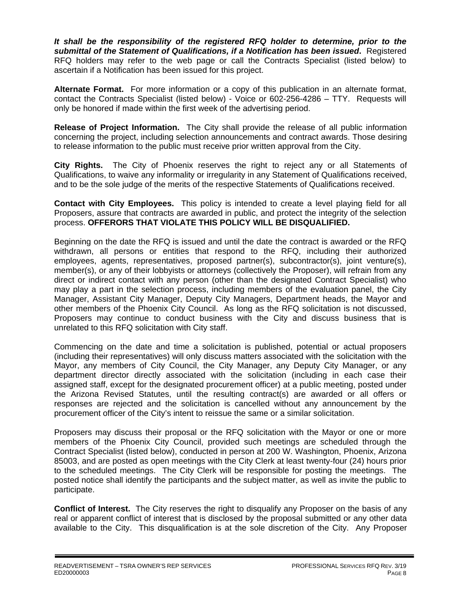*It shall be the responsibility of the registered RFQ holder to determine, prior to the submittal of the Statement of Qualifications, if a Notification has been issued***.** Registered RFQ holders may refer to the web page or call the Contracts Specialist (listed below) to ascertain if a Notification has been issued for this project.

**Alternate Format.** For more information or a copy of this publication in an alternate format, contact the Contracts Specialist (listed below) - Voice or 602-256-4286 – TTY. Requests will only be honored if made within the first week of the advertising period.

**Release of Project Information.** The City shall provide the release of all public information concerning the project, including selection announcements and contract awards. Those desiring to release information to the public must receive prior written approval from the City.

**City Rights.** The City of Phoenix reserves the right to reject any or all Statements of Qualifications, to waive any informality or irregularity in any Statement of Qualifications received, and to be the sole judge of the merits of the respective Statements of Qualifications received.

**Contact with City Employees.** This policy is intended to create a level playing field for all Proposers, assure that contracts are awarded in public, and protect the integrity of the selection process. **OFFERORS THAT VIOLATE THIS POLICY WILL BE DISQUALIFIED.**

Beginning on the date the RFQ is issued and until the date the contract is awarded or the RFQ withdrawn, all persons or entities that respond to the RFQ, including their authorized employees, agents, representatives, proposed partner(s), subcontractor(s), joint venture(s), member(s), or any of their lobbyists or attorneys (collectively the Proposer), will refrain from any direct or indirect contact with any person (other than the designated Contract Specialist) who may play a part in the selection process, including members of the evaluation panel, the City Manager, Assistant City Manager, Deputy City Managers, Department heads, the Mayor and other members of the Phoenix City Council. As long as the RFQ solicitation is not discussed, Proposers may continue to conduct business with the City and discuss business that is unrelated to this RFQ solicitation with City staff.

Commencing on the date and time a solicitation is published, potential or actual proposers (including their representatives) will only discuss matters associated with the solicitation with the Mayor, any members of City Council, the City Manager, any Deputy City Manager, or any department director directly associated with the solicitation (including in each case their assigned staff, except for the designated procurement officer) at a public meeting, posted under the Arizona Revised Statutes, until the resulting contract(s) are awarded or all offers or responses are rejected and the solicitation is cancelled without any announcement by the procurement officer of the City's intent to reissue the same or a similar solicitation.

Proposers may discuss their proposal or the RFQ solicitation with the Mayor or one or more members of the Phoenix City Council, provided such meetings are scheduled through the Contract Specialist (listed below), conducted in person at 200 W. Washington, Phoenix, Arizona 85003, and are posted as open meetings with the City Clerk at least twenty-four (24) hours prior to the scheduled meetings. The City Clerk will be responsible for posting the meetings. The posted notice shall identify the participants and the subject matter, as well as invite the public to participate.

**Conflict of Interest.** The City reserves the right to disqualify any Proposer on the basis of any real or apparent conflict of interest that is disclosed by the proposal submitted or any other data available to the City. This disqualification is at the sole discretion of the City. Any Proposer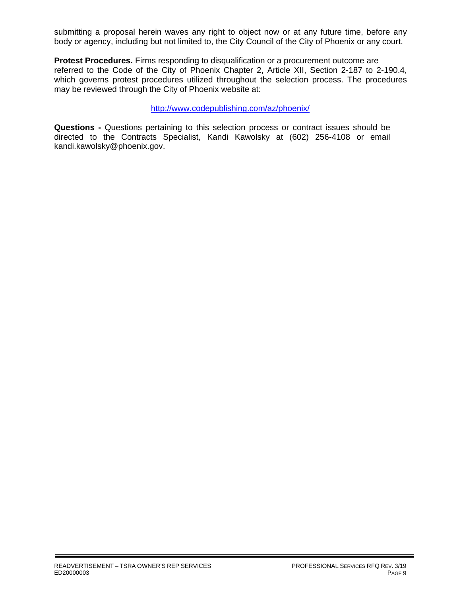submitting a proposal herein waves any right to object now or at any future time, before any body or agency, including but not limited to, the City Council of the City of Phoenix or any court.

**Protest Procedures.** Firms responding to disqualification or a procurement outcome are referred to the Code of the City of Phoenix Chapter 2, Article XII, Section 2-187 to 2-190.4, which governs protest procedures utilized throughout the selection process. The procedures may be reviewed through the City of Phoenix website at:

#### http://www.codepublishing.com/az/phoenix/

**Questions -** Questions pertaining to this selection process or contract issues should be directed to the Contracts Specialist, Kandi Kawolsky at (602) 256-4108 or email kandi.kawolsky@phoenix.gov.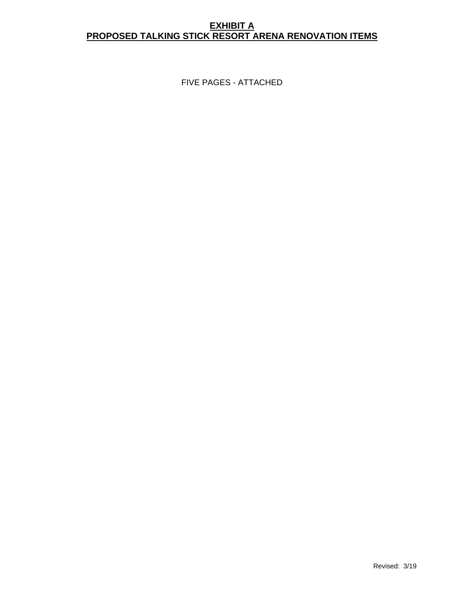## **EXHIBIT A PROPOSED TALKING STICK RESORT ARENA RENOVATION ITEMS**

FIVE PAGES - ATTACHED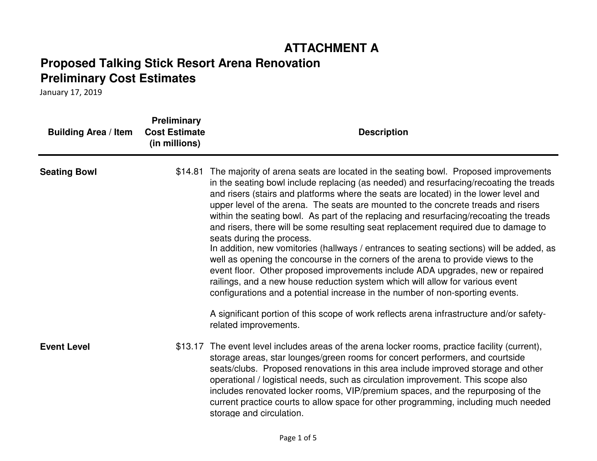# **ATTACHMENT A**

# **Proposed Talking Stick Resort Arena RenovationPreliminary Cost Estimates**

| <b>Building Area / Item</b> | <b>Preliminary</b><br><b>Cost Estimate</b><br>(in millions) | <b>Description</b>                                                                                                                                                                                                                                                                                                                                                                                                                                                                                                                                                                                                                                                                                                                                                                                                                                                                                                                                                                                                   |
|-----------------------------|-------------------------------------------------------------|----------------------------------------------------------------------------------------------------------------------------------------------------------------------------------------------------------------------------------------------------------------------------------------------------------------------------------------------------------------------------------------------------------------------------------------------------------------------------------------------------------------------------------------------------------------------------------------------------------------------------------------------------------------------------------------------------------------------------------------------------------------------------------------------------------------------------------------------------------------------------------------------------------------------------------------------------------------------------------------------------------------------|
| <b>Seating Bowl</b>         |                                                             | \$14.81 The majority of arena seats are located in the seating bowl. Proposed improvements<br>in the seating bowl include replacing (as needed) and resurfacing/recoating the treads<br>and risers (stairs and platforms where the seats are located) in the lower level and<br>upper level of the arena. The seats are mounted to the concrete treads and risers<br>within the seating bowl. As part of the replacing and resurfacing/recoating the treads<br>and risers, there will be some resulting seat replacement required due to damage to<br>seats during the process.<br>In addition, new vomitories (hallways / entrances to seating sections) will be added, as<br>well as opening the concourse in the corners of the arena to provide views to the<br>event floor. Other proposed improvements include ADA upgrades, new or repaired<br>railings, and a new house reduction system which will allow for various event<br>configurations and a potential increase in the number of non-sporting events. |
|                             |                                                             | A significant portion of this scope of work reflects arena infrastructure and/or safety-<br>related improvements.                                                                                                                                                                                                                                                                                                                                                                                                                                                                                                                                                                                                                                                                                                                                                                                                                                                                                                    |
| <b>Event Level</b>          |                                                             | \$13.17 The event level includes areas of the arena locker rooms, practice facility (current),<br>storage areas, star lounges/green rooms for concert performers, and courtside<br>seats/clubs. Proposed renovations in this area include improved storage and other<br>operational / logistical needs, such as circulation improvement. This scope also<br>includes renovated locker rooms, VIP/premium spaces, and the repurposing of the<br>current practice courts to allow space for other programming, including much needed<br>storage and circulation.                                                                                                                                                                                                                                                                                                                                                                                                                                                       |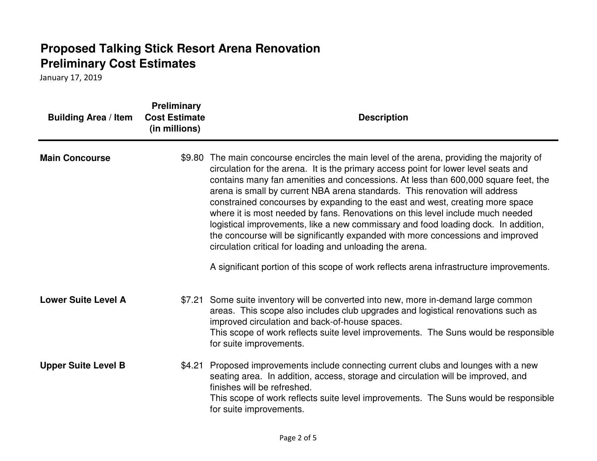| <b>Building Area / Item</b> | <b>Preliminary</b><br><b>Cost Estimate</b><br>(in millions) | <b>Description</b>                                                                                                                                                                                                                                                                                                                                                                                                                                                                                                                                                                                                                                                                                                                                              |  |
|-----------------------------|-------------------------------------------------------------|-----------------------------------------------------------------------------------------------------------------------------------------------------------------------------------------------------------------------------------------------------------------------------------------------------------------------------------------------------------------------------------------------------------------------------------------------------------------------------------------------------------------------------------------------------------------------------------------------------------------------------------------------------------------------------------------------------------------------------------------------------------------|--|
| <b>Main Concourse</b>       |                                                             | \$9.80 The main concourse encircles the main level of the arena, providing the majority of<br>circulation for the arena. It is the primary access point for lower level seats and<br>contains many fan amenities and concessions. At less than 600,000 square feet, the<br>arena is small by current NBA arena standards. This renovation will address<br>constrained concourses by expanding to the east and west, creating more space<br>where it is most needed by fans. Renovations on this level include much needed<br>logistical improvements, like a new commissary and food loading dock. In addition,<br>the concourse will be significantly expanded with more concessions and improved<br>circulation critical for loading and unloading the arena. |  |
|                             |                                                             | A significant portion of this scope of work reflects arena infrastructure improvements.                                                                                                                                                                                                                                                                                                                                                                                                                                                                                                                                                                                                                                                                         |  |
| <b>Lower Suite Level A</b>  | \$7.21                                                      | Some suite inventory will be converted into new, more in-demand large common<br>areas. This scope also includes club upgrades and logistical renovations such as<br>improved circulation and back-of-house spaces.<br>This scope of work reflects suite level improvements. The Suns would be responsible<br>for suite improvements.                                                                                                                                                                                                                                                                                                                                                                                                                            |  |
| <b>Upper Suite Level B</b>  | \$4.21                                                      | Proposed improvements include connecting current clubs and lounges with a new<br>seating area. In addition, access, storage and circulation will be improved, and<br>finishes will be refreshed.<br>This scope of work reflects suite level improvements. The Suns would be responsible<br>for suite improvements.                                                                                                                                                                                                                                                                                                                                                                                                                                              |  |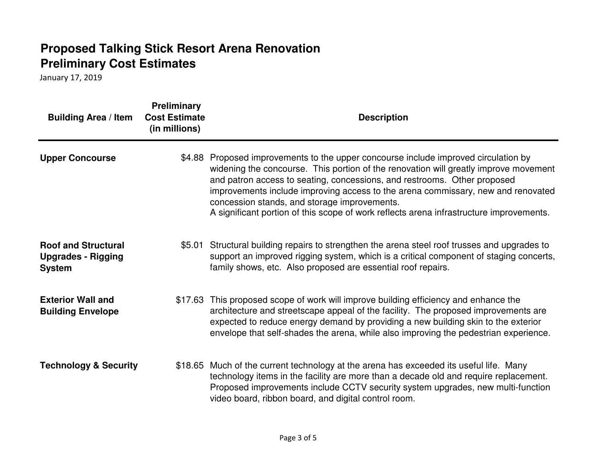| <b>Building Area / Item</b>                                              | <b>Preliminary</b><br><b>Cost Estimate</b><br>(in millions) | <b>Description</b>                                                                                                                                                                                                                                                                                                                                                                                                                                                              |
|--------------------------------------------------------------------------|-------------------------------------------------------------|---------------------------------------------------------------------------------------------------------------------------------------------------------------------------------------------------------------------------------------------------------------------------------------------------------------------------------------------------------------------------------------------------------------------------------------------------------------------------------|
| <b>Upper Concourse</b>                                                   | \$4.88                                                      | Proposed improvements to the upper concourse include improved circulation by<br>widening the concourse. This portion of the renovation will greatly improve movement<br>and patron access to seating, concessions, and restrooms. Other proposed<br>improvements include improving access to the arena commissary, new and renovated<br>concession stands, and storage improvements.<br>A significant portion of this scope of work reflects arena infrastructure improvements. |
| <b>Roof and Structural</b><br><b>Upgrades - Rigging</b><br><b>System</b> | \$5.01                                                      | Structural building repairs to strengthen the arena steel roof trusses and upgrades to<br>support an improved rigging system, which is a critical component of staging concerts,<br>family shows, etc. Also proposed are essential roof repairs.                                                                                                                                                                                                                                |
| <b>Exterior Wall and</b><br><b>Building Envelope</b>                     |                                                             | \$17.63 This proposed scope of work will improve building efficiency and enhance the<br>architecture and streetscape appeal of the facility. The proposed improvements are<br>expected to reduce energy demand by providing a new building skin to the exterior<br>envelope that self-shades the arena, while also improving the pedestrian experience.                                                                                                                         |
| <b>Technology &amp; Security</b>                                         |                                                             | \$18.65 Much of the current technology at the arena has exceeded its useful life. Many<br>technology items in the facility are more than a decade old and require replacement.<br>Proposed improvements include CCTV security system upgrades, new multi-function<br>video board, ribbon board, and digital control room.                                                                                                                                                       |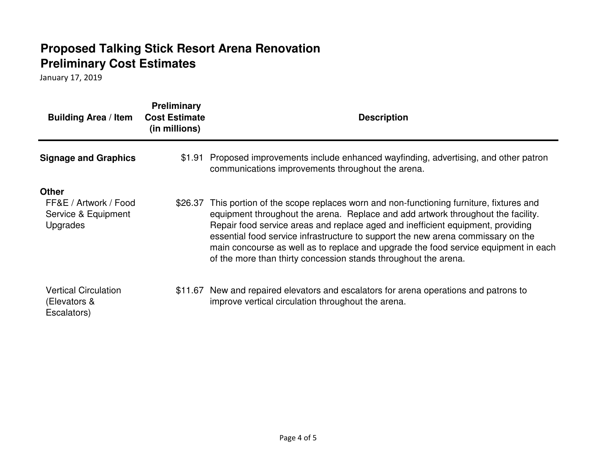| <b>Building Area / Item</b>                                              | <b>Preliminary</b><br><b>Cost Estimate</b><br>(in millions) | <b>Description</b>                                                                                                                                                                                                                                                                                                                                                                                                                                                                                       |
|--------------------------------------------------------------------------|-------------------------------------------------------------|----------------------------------------------------------------------------------------------------------------------------------------------------------------------------------------------------------------------------------------------------------------------------------------------------------------------------------------------------------------------------------------------------------------------------------------------------------------------------------------------------------|
| <b>Signage and Graphics</b>                                              |                                                             | \$1.91 Proposed improvements include enhanced wayfinding, advertising, and other patron<br>communications improvements throughout the arena.                                                                                                                                                                                                                                                                                                                                                             |
| <b>Other</b><br>FF&E / Artwork / Food<br>Service & Equipment<br>Upgrades | \$26.37                                                     | This portion of the scope replaces worn and non-functioning furniture, fixtures and<br>equipment throughout the arena. Replace and add artwork throughout the facility.<br>Repair food service areas and replace aged and inefficient equipment, providing<br>essential food service infrastructure to support the new arena commissary on the<br>main concourse as well as to replace and upgrade the food service equipment in each<br>of the more than thirty concession stands throughout the arena. |
| <b>Vertical Circulation</b><br>(Elevators &<br>Escalators)               | \$11.67                                                     | New and repaired elevators and escalators for arena operations and patrons to<br>improve vertical circulation throughout the arena.                                                                                                                                                                                                                                                                                                                                                                      |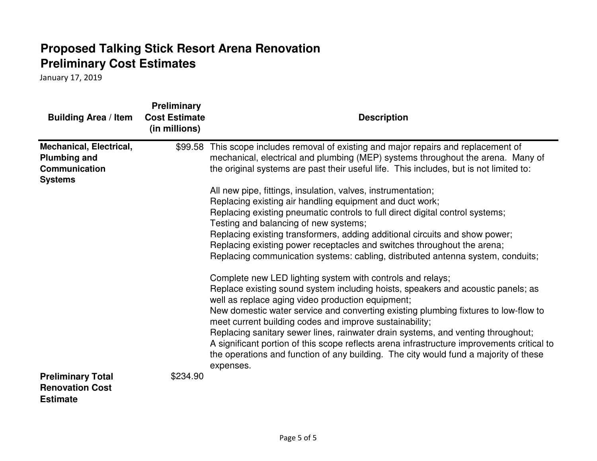| <b>Building Area / Item</b>                                                                     | <b>Preliminary</b><br><b>Cost Estimate</b><br>(in millions) | <b>Description</b>                                                                                                                                                                                                                                                                                                                                                                                                                                                                                                                                                                                                                                                                                                                                           |
|-------------------------------------------------------------------------------------------------|-------------------------------------------------------------|--------------------------------------------------------------------------------------------------------------------------------------------------------------------------------------------------------------------------------------------------------------------------------------------------------------------------------------------------------------------------------------------------------------------------------------------------------------------------------------------------------------------------------------------------------------------------------------------------------------------------------------------------------------------------------------------------------------------------------------------------------------|
| <b>Mechanical, Electrical,</b><br><b>Plumbing and</b><br><b>Communication</b><br><b>Systems</b> | \$99.58                                                     | This scope includes removal of existing and major repairs and replacement of<br>mechanical, electrical and plumbing (MEP) systems throughout the arena. Many of<br>the original systems are past their useful life. This includes, but is not limited to:<br>All new pipe, fittings, insulation, valves, instrumentation;<br>Replacing existing air handling equipment and duct work;<br>Replacing existing pneumatic controls to full direct digital control systems;<br>Testing and balancing of new systems;<br>Replacing existing transformers, adding additional circuits and show power;<br>Replacing existing power receptacles and switches throughout the arena;<br>Replacing communication systems: cabling, distributed antenna system, conduits; |
| <b>Preliminary Total</b><br><b>Renovation Cost</b><br><b>Estimate</b>                           | \$234.90                                                    | Complete new LED lighting system with controls and relays;<br>Replace existing sound system including hoists, speakers and acoustic panels; as<br>well as replace aging video production equipment;<br>New domestic water service and converting existing plumbing fixtures to low-flow to<br>meet current building codes and improve sustainability;<br>Replacing sanitary sewer lines, rainwater drain systems, and venting throughout;<br>A significant portion of this scope reflects arena infrastructure improvements critical to<br>the operations and function of any building. The city would fund a majority of these<br>expenses.                                                                                                                 |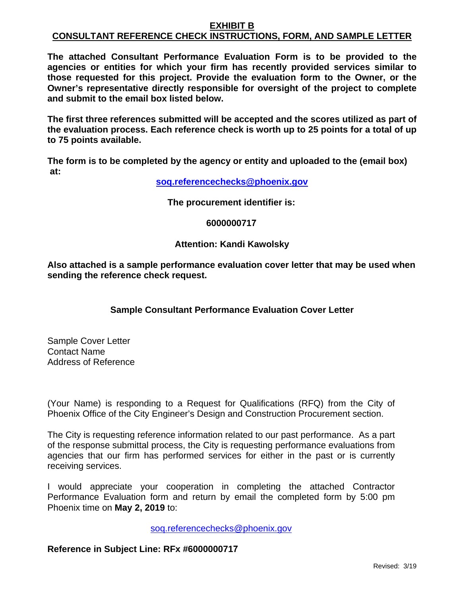#### **EXHIBIT B CONSULTANT REFERENCE CHECK INSTRUCTIONS, FORM, AND SAMPLE LETTER**

**The attached Consultant Performance Evaluation Form is to be provided to the agencies or entities for which your firm has recently provided services similar to those requested for this project. Provide the evaluation form to the Owner, or the Owner's representative directly responsible for oversight of the project to complete and submit to the email box listed below.** 

**The first three references submitted will be accepted and the scores utilized as part of the evaluation process. Each reference check is worth up to 25 points for a total of up to 75 points available.** 

**The form is to be completed by the agency or entity and uploaded to the (email box) at:** 

**soq.referencechecks@phoenix.gov**

**The procurement identifier is:** 

**6000000717**

### **Attention: Kandi Kawolsky**

**Also attached is a sample performance evaluation cover letter that may be used when sending the reference check request.** 

## **Sample Consultant Performance Evaluation Cover Letter**

Sample Cover Letter Contact Name Address of Reference

(Your Name) is responding to a Request for Qualifications (RFQ) from the City of Phoenix Office of the City Engineer's Design and Construction Procurement section.

The City is requesting reference information related to our past performance. As a part of the response submittal process, the City is requesting performance evaluations from agencies that our firm has performed services for either in the past or is currently receiving services.

I would appreciate your cooperation in completing the attached Contractor Performance Evaluation form and return by email the completed form by 5:00 pm Phoenix time on **May 2, 2019** to:

soq.referencechecks@phoenix.gov

#### **Reference in Subject Line: RFx #6000000717**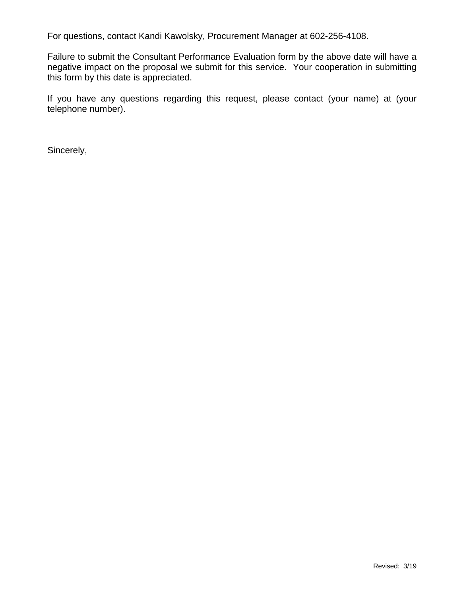For questions, contact Kandi Kawolsky, Procurement Manager at 602-256-4108.

Failure to submit the Consultant Performance Evaluation form by the above date will have a negative impact on the proposal we submit for this service. Your cooperation in submitting this form by this date is appreciated.

If you have any questions regarding this request, please contact (your name) at (your telephone number).

Sincerely,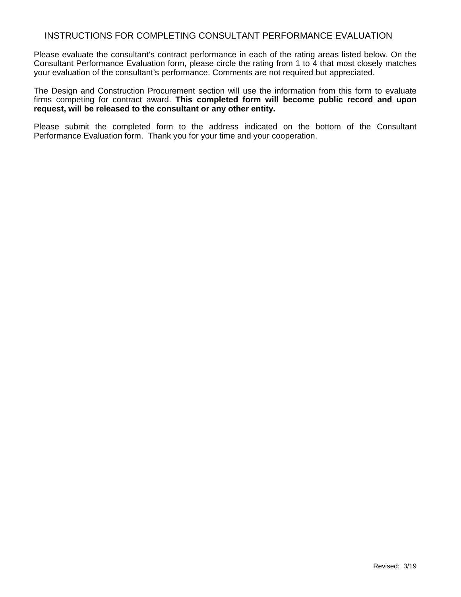#### INSTRUCTIONS FOR COMPLETING CONSULTANT PERFORMANCE EVALUATION

Please evaluate the consultant's contract performance in each of the rating areas listed below. On the Consultant Performance Evaluation form, please circle the rating from 1 to 4 that most closely matches your evaluation of the consultant's performance. Comments are not required but appreciated.

The Design and Construction Procurement section will use the information from this form to evaluate firms competing for contract award. **This completed form will become public record and upon request, will be released to the consultant or any other entity.**

Please submit the completed form to the address indicated on the bottom of the Consultant Performance Evaluation form. Thank you for your time and your cooperation.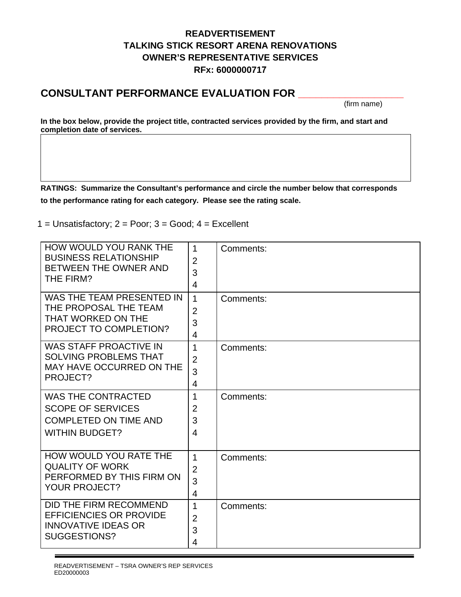# **READVERTISEMENT TALKING STICK RESORT ARENA RENOVATIONS OWNER'S REPRESENTATIVE SERVICES RFx: 6000000717**

# **CONSULTANT PERFORMANCE EVALUATION FOR \_\_\_\_\_\_\_\_\_\_\_\_\_\_\_\_\_\_**

(firm name)

**In the box below, provide the project title, contracted services provided by the firm, and start and completion date of services.** 

**RATINGS: Summarize the Consultant's performance and circle the number below that corresponds to the performance rating for each category. Please see the rating scale.** 

 $1 =$  Unsatisfactory;  $2 =$  Poor;  $3 =$  Good;  $4 =$  Excellent

| HOW WOULD YOU RANK THE<br><b>BUSINESS RELATIONSHIP</b><br>BETWEEN THE OWNER AND<br>THE FIRM?                   | $\mathbf{1}$<br>$\overline{2}$<br>3<br>4 | Comments: |
|----------------------------------------------------------------------------------------------------------------|------------------------------------------|-----------|
| WAS THE TEAM PRESENTED IN<br>THE PROPOSAL THE TEAM<br>THAT WORKED ON THE<br><b>PROJECT TO COMPLETION?</b>      | $\mathbf{1}$<br>$\overline{2}$<br>3<br>4 | Comments: |
| <b>WAS STAFF PROACTIVE IN</b><br><b>SOLVING PROBLEMS THAT</b><br>MAY HAVE OCCURRED ON THE<br>PROJECT?          | 1<br>$\overline{2}$<br>3<br>4            | Comments: |
| <b>WAS THE CONTRACTED</b><br><b>SCOPE OF SERVICES</b><br><b>COMPLETED ON TIME AND</b><br><b>WITHIN BUDGET?</b> | 1<br>$\overline{2}$<br>3<br>4            | Comments: |
| <b>HOW WOULD YOU RATE THE</b><br><b>QUALITY OF WORK</b><br>PERFORMED BY THIS FIRM ON<br><b>YOUR PROJECT?</b>   | $\mathbf{1}$<br>$\overline{2}$<br>3<br>4 | Comments: |
| DID THE FIRM RECOMMEND<br><b>EFFICIENCIES OR PROVIDE</b><br><b>INNOVATIVE IDEAS OR</b><br>SUGGESTIONS?         | 1<br>$\overline{2}$<br>3<br>4            | Comments: |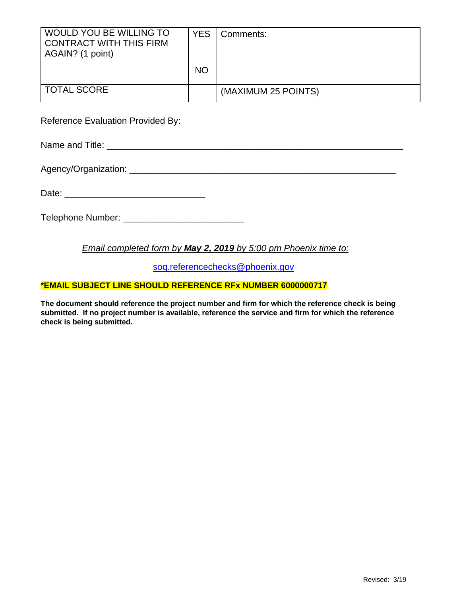| WOULD YOU BE WILLING TO<br><b>CONTRACT WITH THIS FIRM</b><br>AGAIN? (1 point) | <b>YES</b> | Comments:           |
|-------------------------------------------------------------------------------|------------|---------------------|
|                                                                               | <b>NO</b>  |                     |
| <b>TOTAL SCORE</b>                                                            |            | (MAXIMUM 25 POINTS) |

Reference Evaluation Provided By:

Name and Title: \_\_\_\_\_\_\_\_\_\_\_\_\_\_\_\_\_\_\_\_\_\_\_\_\_\_\_\_\_\_\_\_\_\_\_\_\_\_\_\_\_\_\_\_\_\_\_\_\_\_\_\_\_\_\_\_\_\_\_

Agency/Organization: \_\_\_\_\_\_\_\_\_\_\_\_\_\_\_\_\_\_\_\_\_\_\_\_\_\_\_\_\_\_\_\_\_\_\_\_\_\_\_\_\_\_\_\_\_\_\_\_\_\_\_\_\_

Date: \_\_\_\_\_\_\_\_\_\_\_\_\_\_\_\_\_\_\_\_\_\_\_\_\_\_\_\_

Telephone Number: \_\_\_\_\_\_\_\_\_\_\_\_\_\_\_\_\_\_\_\_\_\_\_\_

## *Email completed form by May 2, 2019 by 5:00 pm Phoenix time to:*

soq.referencechecks@phoenix.gov

### **\*EMAIL SUBJECT LINE SHOULD REFERENCE RFx NUMBER 6000000717**

**The document should reference the project number and firm for which the reference check is being submitted. If no project number is available, reference the service and firm for which the reference check is being submitted.**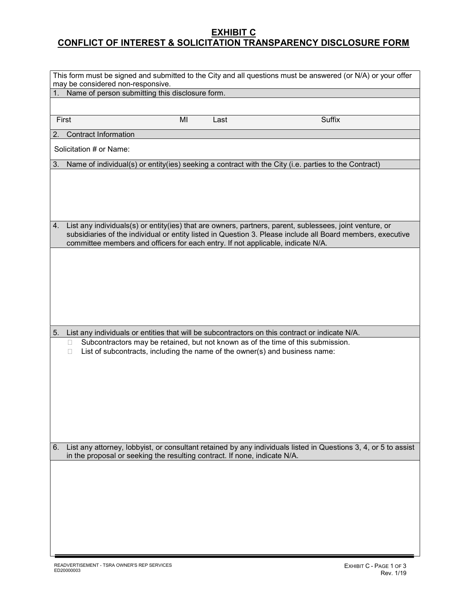## <u>EXHIBIT C</u> CONFLICT OF INTEREST & SOLICITATION TRANSPARENCY DISCLOSURE FORM

|    |                                                                                      |    |      | This form must be signed and submitted to the City and all questions must be answered (or N/A) or your offer                                                                                                          |  |
|----|--------------------------------------------------------------------------------------|----|------|-----------------------------------------------------------------------------------------------------------------------------------------------------------------------------------------------------------------------|--|
| 1. | may be considered non-responsive.<br>Name of person submitting this disclosure form. |    |      |                                                                                                                                                                                                                       |  |
|    |                                                                                      |    |      |                                                                                                                                                                                                                       |  |
|    | First                                                                                | MI | Last | <b>Suffix</b>                                                                                                                                                                                                         |  |
| 2. | Contract Information                                                                 |    |      |                                                                                                                                                                                                                       |  |
|    | Solicitation # or Name:                                                              |    |      |                                                                                                                                                                                                                       |  |
| 3. |                                                                                      |    |      | Name of individual(s) or entity(ies) seeking a contract with the City (i.e. parties to the Contract)                                                                                                                  |  |
|    |                                                                                      |    |      |                                                                                                                                                                                                                       |  |
| 4. | committee members and officers for each entry. If not applicable, indicate N/A.      |    |      | List any individuals(s) or entity(ies) that are owners, partners, parent, sublessees, joint venture, or<br>subsidiaries of the individual or entity listed in Question 3. Please include all Board members, executive |  |
|    |                                                                                      |    |      |                                                                                                                                                                                                                       |  |
|    |                                                                                      |    |      | 5. List any individuals or entities that will be subcontractors on this contract or indicate N/A.                                                                                                                     |  |
|    | $\Box$<br>□                                                                          |    |      | Subcontractors may be retained, but not known as of the time of this submission.<br>List of subcontracts, including the name of the owner(s) and business name:                                                       |  |
| 6. | in the proposal or seeking the resulting contract. If none, indicate N/A.            |    |      | List any attorney, lobbyist, or consultant retained by any individuals listed in Questions 3, 4, or 5 to assist                                                                                                       |  |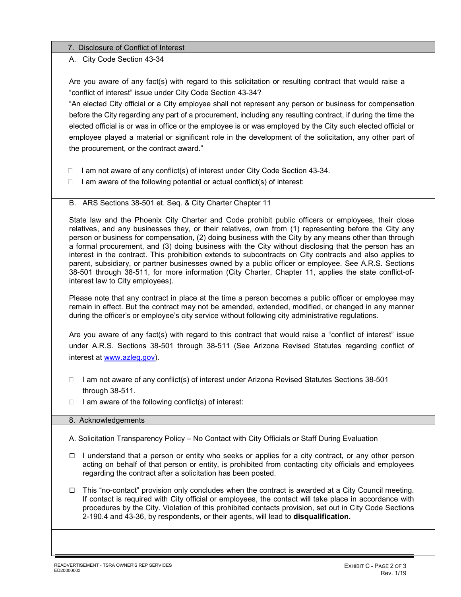#### 7. Disclosure of Conflict of Interest

#### A. City Code Section 43-34

Are you aware of any fact(s) with regard to this solicitation or resulting contract that would raise a "conflict of interest" issue under City Code Section 43-34?

"An elected City official or a City employee shall not represent any person or business for compensation before the City regarding any part of a procurement, including any resulting contract, if during the time the elected official is or was in office or the employee is or was employed by the City such elected official or employee played a material or significant role in the development of the solicitation, any other part of the procurement, or the contract award."

- $\Box$  I am not aware of any conflict(s) of interest under City Code Section 43-34.
- $\Box$  I am aware of the following potential or actual conflict(s) of interest:
- B. ARS Sections 38-501 et. Seq. & City Charter Chapter 11

State law and the Phoenix City Charter and Code prohibit public officers or employees, their close relatives, and any businesses they, or their relatives, own from (1) representing before the City any person or business for compensation, (2) doing business with the City by any means other than through a formal procurement, and (3) doing business with the City without disclosing that the person has an interest in the contract. This prohibition extends to subcontracts on City contracts and also applies to parent, subsidiary, or partner businesses owned by a public officer or employee. See A.R.S. Sections 38-501 through 38-511, for more information (City Charter, Chapter 11, applies the state conflict-ofinterest law to City employees).

Please note that any contract in place at the time a person becomes a public officer or employee may remain in effect. But the contract may not be amended, extended, modified, or changed in any manner during the officer's or employee's city service without following city administrative regulations.

Are you aware of any fact(s) with regard to this contract that would raise a "conflict of interest" issue under A.R.S. Sections 38-501 through 38-511 (See Arizona Revised Statutes regarding conflict of interest at www.azleg.gov).

- $\Box$  I am not aware of any conflict(s) of interest under Arizona Revised Statutes Sections 38-501 through 38-511.
- $\Box$  I am aware of the following conflict(s) of interest:

#### 8. Acknowledgements

- A. Solicitation Transparency Policy No Contact with City Officials or Staff During Evaluation
- $\Box$  I understand that a person or entity who seeks or applies for a city contract, or any other person acting on behalf of that person or entity, is prohibited from contacting city officials and employees regarding the contract after a solicitation has been posted.
- $\Box$  This "no-contact" provision only concludes when the contract is awarded at a City Council meeting. If contact is required with City official or employees, the contact will take place in accordance with procedures by the City. Violation of this prohibited contacts provision, set out in City Code Sections 2-190.4 and 43-36, by respondents, or their agents, will lead to **disqualification.**